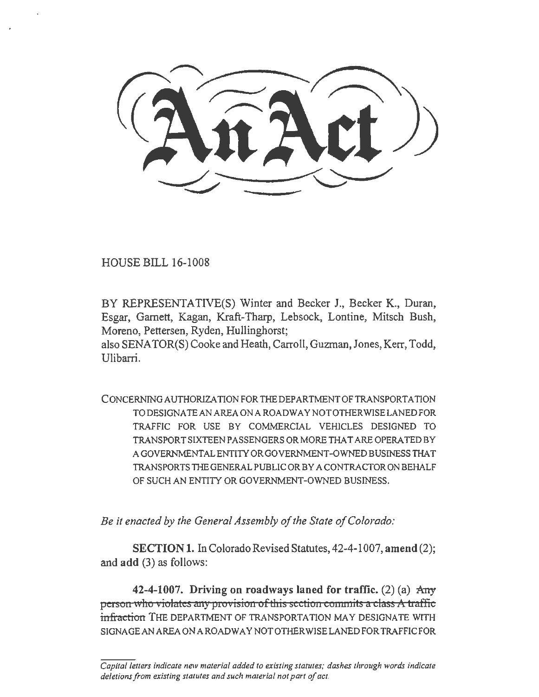HOUSE BILL 16-1008

BY REPRESENTATIVE(S) Winter and Becker J., Becker K., Duran, Esgar, Garnett, Kagan, Kraft-Tharp, Lebsock, Lontine, Mitsch Bush, Moreno, Pettersen, Ryden, Hullinghorst;

also SENATOR(S) Cooke and Heath, Carroll, Guzman, Jones, Kerr, Todd, Ulibarri.

CONCERNING AUTHORIZATION FOR THE DEPARTMENT OFTRANSPORTA TION TO DESIGNATE AN AREA ON A ROADWAY NOT OTHER WISE LANED FOR TRAFFIC FOR USE BY COMMERCIAL VEHICLES DESIGNED TO TRANSPORTSIXTEENPASSENGERSORMORETHATAREOPERATEDBY A GOVERNMENTAL ENTITY OR GOVERNMENT -OWNED BUSINESS THAT TRANSPORTS THE GENERAL PUBLIC OR BY A CONTRACTOR ON BEHALF OF SUCH AN ENTITY OR GOVERNMENT-OWNED BUSINESS.

*Be it enacted by the General Assembly of the State of Colorado:* 

SECTION 1. In Colorado Revised Statutes, 42-4-1007, amend (2); and add (3) as follows:

42-4-1007. Driving on roadways laned for traffic. (2) (a)  $\text{Any}$ person who violates any provision of this section commits a class A traffic infraction THE DEPARTMENT OF TRANSPORTATION MAY DESIGNATE WITH SIGNAGEAN AREA ON A ROADWAY NOT OTHERWISE LANED FOR TRAFFIC FOR

*Capita/letters indicate new material added to existing statutes; dashes through words indicate deletions from existing statutes and such material not part of act.*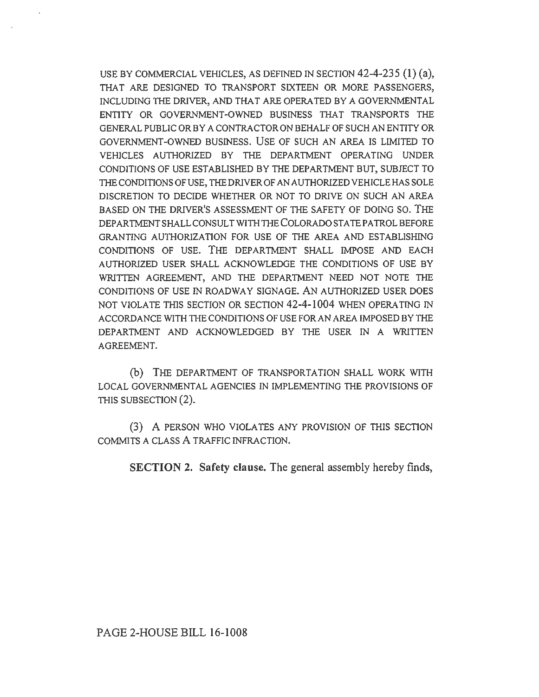USE BY COMMERCIAL VEHICLES, AS DEFINED IN SECTION 42-4-235 **(1)** (a), THAT ARE DESIGNED TO TRANSPORT SIXTEEN OR MORE PASSENGERS, INCLUDING THE DRIVER, AND THAT ARE OPERA TED BY A GOVERNMENTAL ENTITY OR GOVERNMENT -OWNED BUSINESS THAT TRANSPORTS THE GENERAL PUBLIC OR BY A CONTRACTOR ON BEHALF OF SUCH AN ENTITY OR GOVERNMENT-OWNED BUSINESS. USE OF SUCH AN AREA IS LIMJTED TO VEHICLES AUTHORIZED BY THE DEPARTMENT OPERATING UNDER CONDITIONS OF USE ESTABLISHED BY THE DEPARTMENT BUT, SUBJECT TO THE CONDITIONS OF USE, THE DRIVER OF AN AUTHORIZED VEHICLE HAS SOLE DISCRETION TO DECIDE WHETHER OR NOT TO DRIVE ON SUCH AN AREA BASED ON THE DRIVER'S ASSESSMENT OF THE SAFETY OF DOING SO. THE DEPARTMENT SHALL CONSULT WITH THE COLORADO STATE PATROL BEFORE GRANTING AUTHORIZATION FOR USE OF THE AREA AND ESTABLISHING CONDITIONS OF USE. THE DEPARTMENT SHALL IMPOSE AND EACH AUTHORIZED USER SHALL ACKNOWLEDGE THE CONDITIONS OF USE BY WRITTEN AGREEMENT, AND THE DEPARTMENT NEED NOT NOTE THE CONDITIONS OF USE IN ROADWAY SIGNAGE. AN AUTHORIZED USER DOES NOT VIOLATE THIS SECTION OR SECTION 42-4-1004 WHEN OPERATING IN ACCORDANCE WITH THE CONDITIONS OF USE FOR AN AREA IMPOSED BY THE DEPARTMENT AND ACKNOWLEDGED BY THE USER IN A WRITTEN AGREEMENT.

(b) THE DEPARTMENT OF TRANSPORTATION SHALL WORK WITH LOCAL GOVERNMENTAL AGENCIES IN IMPLEMENTING THE PROVISIONS OF THIS SUBSECTION (2).

(3) A PERSON WHO VIOLATES ANY PROVISION OF THIS SECTION COMMITS A CLASS A TRAFFIC INFRACTION.

**SECTION 2. Safety clause.** The general assembly hereby finds,